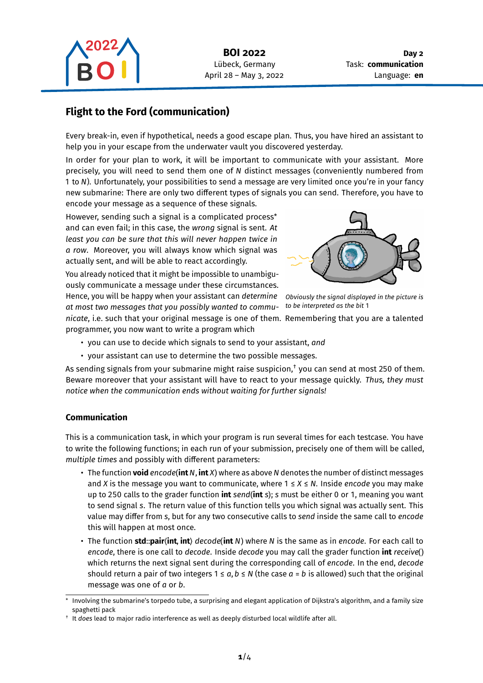

# **Flight to the Ford (communication)**

Every break-in, even if hypothetical, needs a good escape plan. Thus, you have hired an assistant to help you in your escape from the underwater vault you discovered yesterday.

In order for your plan to work, it will be important to communicate with your assistant. More precisely, you will need to send them one of N distinct messages (conveniently numbered from 1 to N). Unfortunately, your possibilities to send a message are very limited once you're in your fancy new submarine: There are only two different types of signals you can send. Therefore, you have to encode your message as a sequence of these signals.

However, sending such a signal is a complicated process\* and can even fail; in this case, the *wrong* signal is sent. *At least you can be sure that this will never happen twice in a row*. Moreover, you will always know which signal was actually sent, and will be able to react accordingly.

You already noticed that it might be impossible to unambiguously communicate a message under these circumstances. Hence, you will be happy when your assistant can *determine at most two messages that you possibly wanted to communicate*, i.e. such that your original message is one of them. Remembering that you are a talented programmer, you now want to write a program which



*Obviously the signal displayed in the picture is to be interpreted as the bit* 1

- you can use to decide which signals to send to your assistant, *and*
- your assistant can use to determine the two possible messages.

As sending signals from your submarine might raise suspicion, $^\dagger$  you can send at most 250 of them. Beware moreover that your assistant will have to react to your message quickly. *Thus, they must notice when the communication ends without waiting for further signals!*

## **Communication**

This is a communication task, in which your program is run several times for each testcase. You have to write the following functions; in each run of your submission, precisely one of them will be called, *multiple times* and possibly with different parameters:

- The function **void** encode(int N, int X) where as above N denotes the number of distinct messages and X is the message you want to communicate, where  $1 \le X \le N$ . Inside *encode* you may make up to 250 calls to the grader function **int** *send*(**int** *s*); *s* must be either 0 or 1, meaning you want to send signal s. The return value of this function tells you which signal was actually sent. This value may differ from *s*, but for any two consecutive calls to *send* inside the same call to *encode* this will happen at most once.
- The function **std**::**pair**⟨**int**, **int**⟩ *decode*(**int** ) where is the same as in *encode*. For each call to *encode*, there is one call to *decode*. Inside *decode* you may call the grader function **int** *receive*() which returns the next signal sent during the corresponding call of *encode*. In the end, *decode* should return a pair of two integers  $1 \le a, b \le N$  (the case  $a = b$  is allowed) such that the original message was one of  $a$  or  $b$ .

Involving the submarine's torpedo tube, a surprising and elegant application of Dijkstra's algorithm, and a family size spaghetti pack

<sup>†</sup> It *does* lead to major radio interference as well as deeply disturbed local wildlife after all.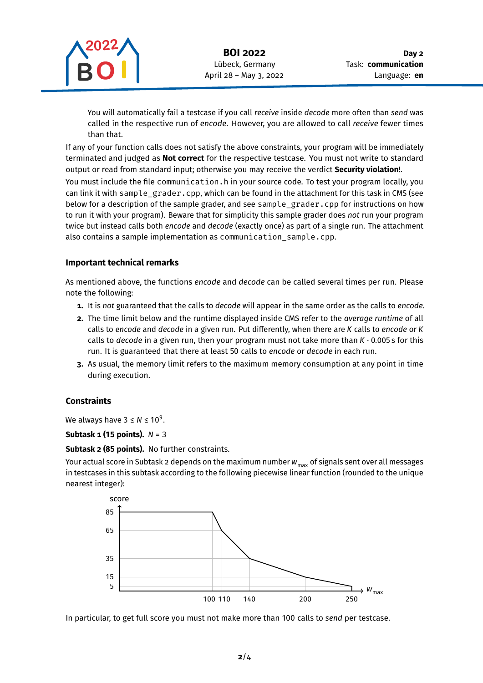

You will automatically fail a testcase if you call *receive* inside *decode* more often than *send* was called in the respective run of *encode*. However, you are allowed to call *receive* fewer times than that.

If any of your function calls does not satisfy the above constraints, your program will be immediately terminated and judged as **Not correct** for the respective testcase. You must not write to standard output or read from standard input; otherwise you may receive the verdict **Security violation!**.

You must include the file communication.h in your source code. To test your program locally, you can link it with sample grader.cpp, which can be found in the attachment for this task in CMS (see below for a description of the sample grader, and see sample\_grader.cpp for instructions on how to run it with your program). Beware that for simplicity this sample grader does *not* run your program twice but instead calls both *encode* and *decode* (exactly once) as part of a single run. The attachment also contains a sample implementation as communication sample.cpp.

## **Important technical remarks**

As mentioned above, the functions *encode* and *decode* can be called several times per run. Please note the following:

- **1.** It is *not* guaranteed that the calls to *decode* will appear in the same order as the calls to *encode*.
- **2.** The time limit below and the runtime displayed inside CMS refer to the *average runtime* of all calls to *encode* and *decode* in a given run. Put differently, when there are *K* calls to *encode* or *K* calls to *decode* in a given run, then your program must not take more than *K* ⋅ 0.005 s for this run. It is guaranteed that there at least 50 calls to *encode* or *decode* in each run.
- **3.** As usual, the memory limit refers to the maximum memory consumption at any point in time during execution.

## **Constraints**

We always have  $3 \leq N \leq 10^9$ .

## **Subtask 1 (15 points).**  $N = 3$

**Subtask 2 (85 points).** No further constraints.

Your actual score in Subtask 2 depends on the maximum number  $w_{\text{max}}$  of signals sent over all messages in testcases in this subtask according to the following piecewise linear function (rounded to the unique nearest integer):



In particular, to get full score you must not make more than 100 calls to *send* per testcase.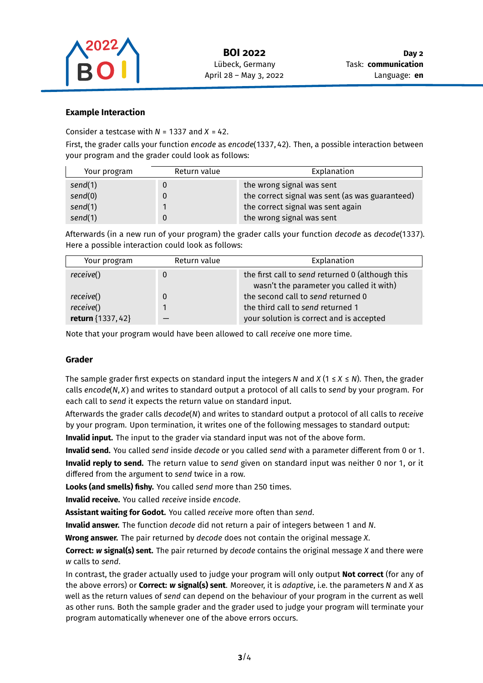

### **Example Interaction**

Consider a testcase with  $N = 1337$  and  $X = 42$ .

First, the grader calls your function *encode* as *encode*(1337, 42). Then, a possible interaction between your program and the grader could look as follows:

| Your program | Return value | Explanation                                     |
|--------------|--------------|-------------------------------------------------|
| send(1)      |              | the wrong signal was sent                       |
| send(0)      |              | the correct signal was sent (as was guaranteed) |
| send(1)      |              | the correct signal was sent again               |
| send(1)      |              | the wrong signal was sent                       |

Afterwards (in a new run of your program) the grader calls your function *decode* as *decode*(1337). Here a possible interaction could look as follows:

| Your program      | Return value | Explanation                                                                                  |
|-------------------|--------------|----------------------------------------------------------------------------------------------|
| receive()         | 0            | the first call to send returned 0 (although this<br>wasn't the parameter you called it with) |
| receive()         | $\mathbf 0$  | the second call to send returned 0                                                           |
| receive()         |              | the third call to send returned 1                                                            |
| return {1337, 42} |              | your solution is correct and is accepted                                                     |

Note that your program would have been allowed to call *receive* one more time.

#### **Grader**

The sample grader first expects on standard input the integers N and  $X$  (1  $\leq$  X  $\leq$  N). Then, the grader calls *encode*(N, X) and writes to standard output a protocol of all calls to send by your program. For each call to *send* it expects the return value on standard input.

Afterwards the grader calls *decode*(N) and writes to standard output a protocol of all calls to *receive* by your program. Upon termination, it writes one of the following messages to standard output:

**Invalid input.** The input to the grader via standard input was not of the above form.

**Invalid send.** You called *send* inside *decode* or you called *send* with a parameter different from 0 or 1. **Invalid reply to send.** The return value to *send* given on standard input was neither 0 nor 1, or it differed from the argument to *send* twice in a row.

**Looks (and smells) fishy.** You called *send* more than 250 times.

**Invalid receive.** You called *receive* inside *encode*.

**Assistant waiting for Godot.** You called *receive* more often than *send*.

**Invalid answer.** The function *decode* did not return a pair of integers between 1 and N.

**Wrong answer.** The pair returned by *decode* does not contain the original message X.

**Correct:** *w* **signal(s) sent.** The pair returned by *decode* contains the original message *X* and there were calls to *send*.

In contrast, the grader actually used to judge your program will only output **Not correct** (for any of the above errors) or **Correct:** *w* **signal(s) sent**. Moreover, it is *adaptive*, i.e. the parameters N and X as well as the return values of *send* can depend on the behaviour of your program in the current as well as other runs. Both the sample grader and the grader used to judge your program will terminate your program automatically whenever one of the above errors occurs.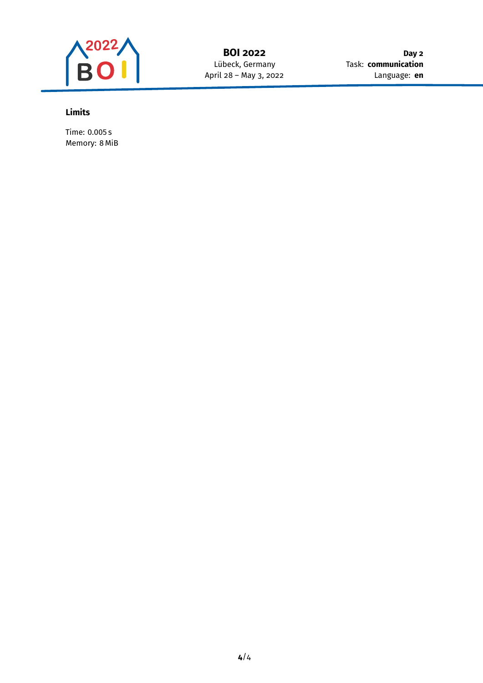

**Day 2** Task: **communication** Language: **en**

# **Limits**

Time: 0.005 s Memory: 8 MiB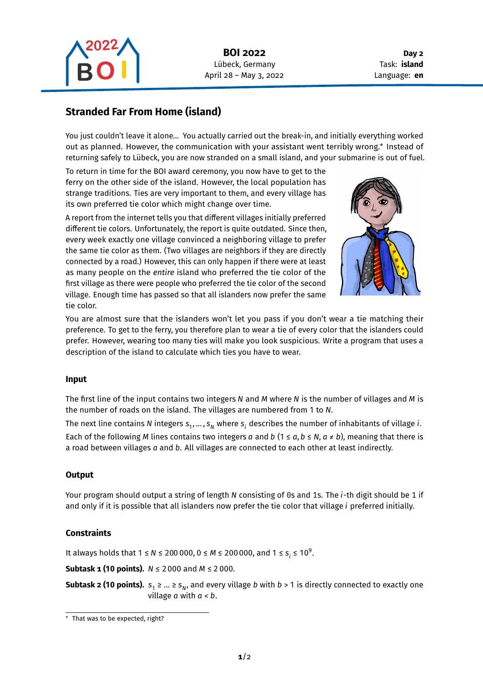

**Day 2** Task: **island** Language: **en**

# **Stranded Far From Home (island)**

You just couldn't leave it alone… You actually carried out the break-in, and initially everything worked out as planned. However, the communication with your assistant went terribly wrong.\* Instead of returning safely to Lübeck, you are now stranded on a small island, and your submarine is out of fuel.

To return in time for the BOI award ceremony, you now have to get to the ferry on the other side of the island. However, the local population has strange traditions. Ties are very important to them, and every village has its own preferred tie color which might change over time.

A report from the internet tells you that different villages initially preferred different tie colors. Unfortunately, the report is quite outdated. Since then, every week exactly one village convinced a neighboring village to prefer the same tie color as them. (Two villages are neighbors if they are directly connected by a road.) However, this can only happen if there were at least as many people on the *entire* island who preferred the tie color of the first village as there were people who preferred the tie color of the second village. Enough time has passed so that all islanders now prefer the same tie color.



You are almost sure that the islanders won't let you pass if you don't wear a tie matching their preference. To get to the ferry, you therefore plan to wear a tie of every color that the islanders could prefer. However, wearing too many ties will make you look suspicious. Write a program that uses a description of the island to calculate which ties you have to wear.

## **Input**

The first line of the input contains two integers  $N$  and  $M$  where  $N$  is the number of villages and  $M$  is the number of roads on the island. The villages are numbered from 1 to N.

The next line contains N integers  $\bm{\mathsf{s}}_{1},...$  ,  $\bm{\mathsf{s}}_{N}$  where  $\bm{\mathsf{s}}_{i}$  describes the number of inhabitants of village  $i$ .

Each of the following M lines contains two integers a and b (1  $\le a, b \le N$ ,  $a \ne b$ ), meaning that there is a road between villages a and b. All villages are connected to each other at least indirectly.

## **Output**

Your program should output a string of length N consisting of 0s and 1s. The *i*-th digit should be 1 if and only if it is possible that all islanders now prefer the tie color that village *i* preferred initially.

## **Constraints**

It always holds that  $1 \le N \le 200\,000$ ,  $0 \le M \le 200\,000$ , and  $1 \le s_i \le 10^9$ .

**Subtask 1 (10 points).**  $N \le 2000$  and  $M \le 2000$ .

**Subtask 2 (10 points).**  $s^{}_1 \geq ... \geq s^{}_N$ , and every village  $b$  with  $b$  > 1 is directly connected to exactly one village  $a$  with  $a < b$ .

<sup>\*</sup> That was to be expected, right?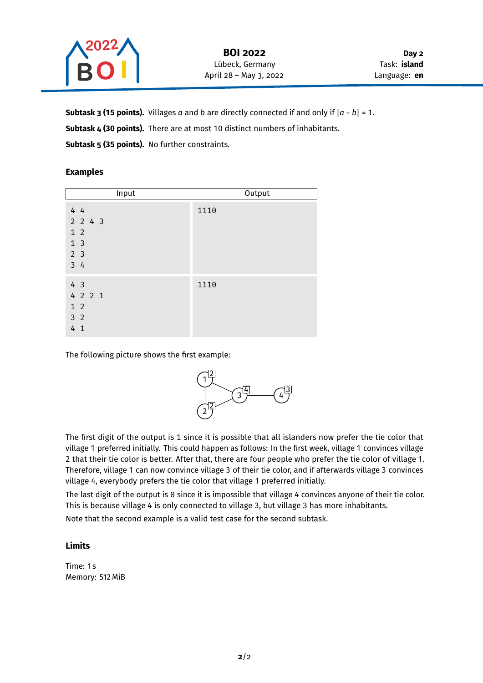

**Subtask 3 (15 points).** Villages  $a$  and  $b$  are directly connected if and only if  $|a - b| = 1$ . Subtask 4 (30 points). There are at most 10 distinct numbers of inhabitants. Subtask 5 (35 points). No further constraints.

## **Examples**

| Input                                                                  | Output |
|------------------------------------------------------------------------|--------|
| 44<br>$2$ 2 4 3<br>$1\quad2$<br>1 <sup>3</sup><br>2 <sub>3</sub><br>34 | 1110   |
| 43<br>4 2 2 1<br>1 <sub>2</sub><br>3 <sub>2</sub><br>4 <sub>1</sub>    | 1110   |

The following picture shows the first example:



The first digit of the output is 1 since it is possible that all islanders now prefer the tie color that village 1 preferred initially. This could happen as follows: In the first week, village 1 convinces village 2 that their tie color is better. After that, there are four people who prefer the tie color of village 1. Therefore, village 1 can now convince village 3 of their tie color, and if afterwards village 3 convinces village 4, everybody prefers the tie color that village 1 preferred initially.

The last digit of the output is 0 since it is impossible that village 4 convinces anyone of their tie color. This is because village 4 is only connected to village 3, but village 3 has more inhabitants.

Note that the second example is a valid test case for the second subtask.

## **Limits**

Time: 1 s Memory: 512 MiB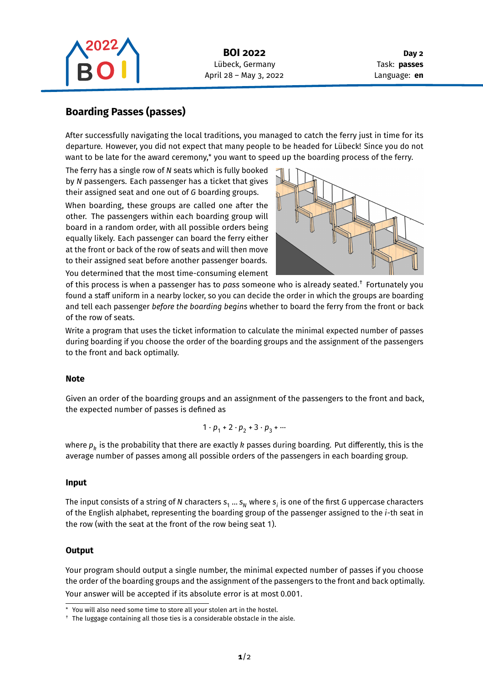

**Day 2** Task: **passes** Language: **en**

# **Boarding Passes (passes)**

After successfully navigating the local traditions, you managed to catch the ferry just in time for its departure. However, you did not expect that many people to be headed for Lübeck! Since you do not want to be late for the award ceremony,\* you want to speed up the boarding process of the ferry.

The ferry has a single row of N seats which is fully booked by N passengers. Each passenger has a ticket that gives their assigned seat and one out of G boarding groups.

When boarding, these groups are called one after the other. The passengers within each boarding group will board in a random order, with all possible orders being equally likely. Each passenger can board the ferry either at the front or back of the row of seats and will then move to their assigned seat before another passenger boards.

You determined that the most time-consuming element



of this process is when a passenger has to *pass* someone who is already seated.† Fortunately you found a staff uniform in a nearby locker, so you can decide the order in which the groups are boarding and tell each passenger *before the boarding begins* whether to board the ferry from the front or back of the row of seats.

Write a program that uses the ticket information to calculate the minimal expected number of passes during boarding if you choose the order of the boarding groups and the assignment of the passengers to the front and back optimally.

#### **Note**

Given an order of the boarding groups and an assignment of the passengers to the front and back, the expected number of passes is defined as

$$
1\cdot p_1 + 2\cdot p_2 + 3\cdot p_3 + \cdots
$$

where  $\bm{{\rho}}_k$  is the probability that there are exactly  $k$  passes during boarding. Put differently, this is the average number of passes among all possible orders of the passengers in each boarding group.

#### **Input**

The input consists of a string of N characters  $\bm{{\mathsf{s}}}_1\dots \bm{{\mathsf{s}}}_N$  where  $\bm{{\mathsf{s}}}_i$  is one of the first G uppercase characters of the English alphabet, representing the boarding group of the passenger assigned to the *i*-th seat in the row (with the seat at the front of the row being seat 1).

#### **Output**

Your program should output a single number, the minimal expected number of passes if you choose the order of the boarding groups and the assignment of the passengers to the front and back optimally. Your answer will be accepted if its absolute error is at most 0.001.

You will also need some time to store all your stolen art in the hostel.

<sup>†</sup> The luggage containing all those ties is a considerable obstacle in the aisle.